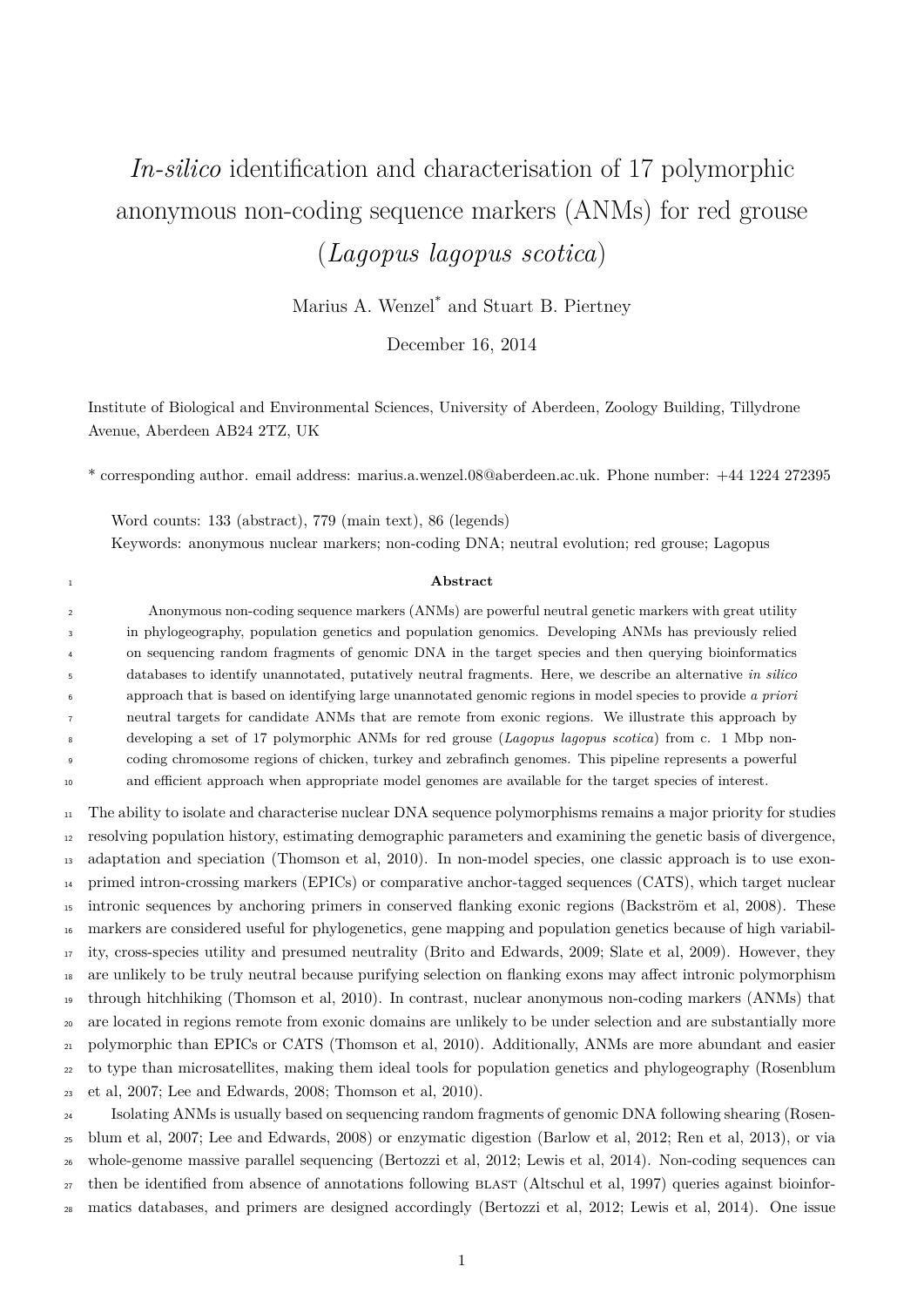## *In-silico* identification and characterisation of 17 polymorphic anonymous non-coding sequence markers (ANMs) for red grouse (*Lagopus lagopus scotica*)

Marius A. Wenzel\* and Stuart B. Piertney

December 16, 2014

Institute of Biological and Environmental Sciences, University of Aberdeen, Zoology Building, Tillydrone Avenue, Aberdeen AB24 2TZ, UK

\* corresponding author. email address: marius.a.wenzel.08@aberdeen.ac.uk. Phone number: +44 1224 272395

Word counts: 133 (abstract), 779 (main text), 86 (legends) Keywords: anonymous nuclear markers; non-coding DNA; neutral evolution; red grouse; Lagopus

## **Abstract**

 Anonymous non-coding sequence markers (ANMs) are powerful neutral genetic markers with great utility in phylogeography, population genetics and population genomics. Developing ANMs has previously relied on sequencing random fragments of genomic DNA in the target species and then querying bioinformatics databases to identify unannotated, putatively neutral fragments. Here, we describe an alternative *in silico* approach that is based on identifying large unannotated genomic regions in model species to provide *a priori* neutral targets for candidate ANMs that are remote from exonic regions. We illustrate this approach by developing a set of 17 polymorphic ANMs for red grouse (*Lagopus lagopus scotica*) from c. 1 Mbp non- coding chromosome regions of chicken, turkey and zebrafinch genomes. This pipeline represents a powerful and efficient approach when appropriate model genomes are available for the target species of interest.

 The ability to isolate and characterise nuclear DNA sequence polymorphisms remains a major priority for studies resolving population history, estimating demographic parameters and examining the genetic basis of divergence, adaptation and speciation (Thomson et al, 2010). In non-model species, one classic approach is to use exon- primed intron-crossing markers (EPICs) or comparative anchor-tagged sequences (CATS), which target nuclear intronic sequences by anchoring primers in conserved flanking exonic regions (Backström et al, 2008). These markers are considered useful for phylogenetics, gene mapping and population genetics because of high variabil- ity, cross-species utility and presumed neutrality (Brito and Edwards, 2009; Slate et al, 2009). However, they are unlikely to be truly neutral because purifying selection on flanking exons may affect intronic polymorphism through hitchhiking (Thomson et al, 2010). In contrast, nuclear anonymous non-coding markers (ANMs) that are located in regions remote from exonic domains are unlikely to be under selection and are substantially more polymorphic than EPICs or CATS (Thomson et al, 2010). Additionally, ANMs are more abundant and easier to type than microsatellites, making them ideal tools for population genetics and phylogeography (Rosenblum et al, 2007; Lee and Edwards, 2008; Thomson et al, 2010).

 Isolating ANMs is usually based on sequencing random fragments of genomic DNA following shearing (Rosen- blum et al, 2007; Lee and Edwards, 2008) or enzymatic digestion (Barlow et al, 2012; Ren et al, 2013), or via whole-genome massive parallel sequencing (Bertozzi et al, 2012; Lewis et al, 2014). Non-coding sequences can then be identified from absence of annotations following blast (Altschul et al, 1997) queries against bioinfor-matics databases, and primers are designed accordingly (Bertozzi et al, 2012; Lewis et al, 2014). One issue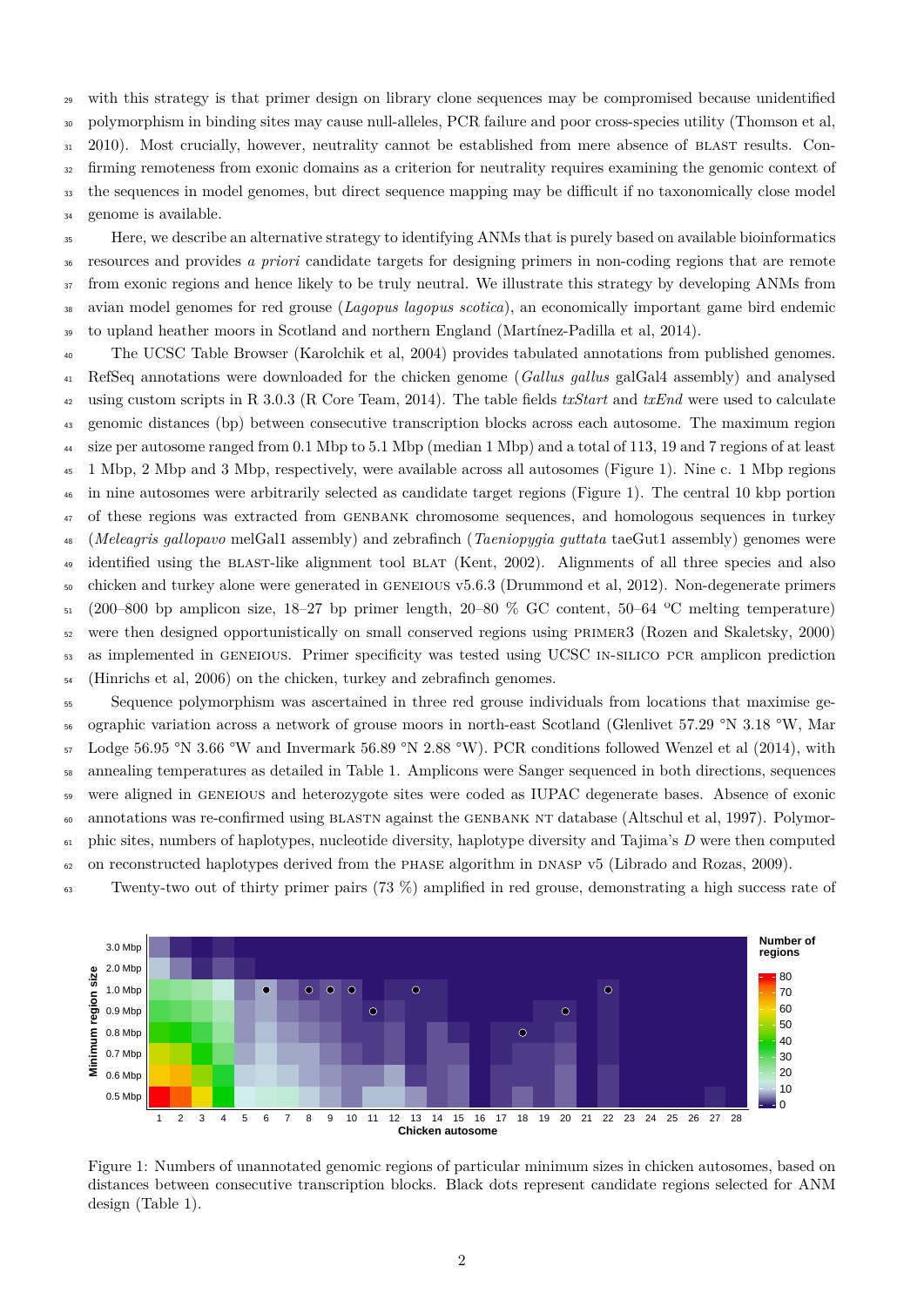<sup>29</sup> with this strategy is that primer design on library clone sequences may be compromised because unidentified

<sup>30</sup> polymorphism in binding sites may cause null-alleles, PCR failure and poor cross-species utility (Thomson et al,

31 2010). Most crucially, however, neutrality cannot be established from mere absence of BLAST results. Con-

<sup>32</sup> firming remoteness from exonic domains as a criterion for neutrality requires examining the genomic context of

<sup>33</sup> the sequences in model genomes, but direct sequence mapping may be difficult if no taxonomically close model <sup>34</sup> genome is available.

 Here, we describe an alternative strategy to identifying ANMs that is purely based on available bioinformatics resources and provides *a priori* candidate targets for designing primers in non-coding regions that are remote <sup>37</sup> from exonic regions and hence likely to be truly neutral. We illustrate this strategy by developing ANMs from avian model genomes for red grouse (*Lagopus lagopus scotica*), an economically important game bird endemic to upland heather moors in Scotland and northern England (Martínez-Padilla et al, 2014).

 The UCSC Table Browser (Karolchik et al, 2004) provides tabulated annotations from published genomes. RefSeq annotations were downloaded for the chicken genome (*Gallus gallus* galGal4 assembly) and analysed using custom scripts in R 3.0.3 (R Core Team, 2014). The table fields *txStart* and *txEnd* were used to calculate genomic distances (bp) between consecutive transcription blocks across each autosome. The maximum region size per autosome ranged from 0.1 Mbp to 5.1 Mbp (median 1 Mbp) and a total of 113, 19 and 7 regions of at least 1 Mbp, 2 Mbp and 3 Mbp, respectively, were available across all autosomes (Figure 1). Nine c. 1 Mbp regions in nine autosomes were arbitrarily selected as candidate target regions (Figure 1). The central 10 kbp portion <sup>47</sup> of these regions was extracted from GENBANK chromosome sequences, and homologous sequences in turkey (*Meleagris gallopavo* melGal1 assembly) and zebrafinch (*Taeniopygia guttata* taeGut1 assembly) genomes were 49 identified using the BLAST-like alignment tool BLAT (Kent, 2002). Alignments of all three species and also chicken and turkey alone were generated in geneious v5.6.3 (Drummond et al, 2012). Non-degenerate primers  $_{51}$  (200–800 bp amplicon size, 18–27 bp primer length, 20–80 % GC content, 50–64 <sup>o</sup>C melting temperature) were then designed opportunistically on small conserved regions using primer3 (Rozen and Skaletsky, 2000) 53 as implemented in GENEIOUS. Primer specificity was tested using UCSC IN-SILICO PCR amplicon prediction (Hinrichs et al, 2006) on the chicken, turkey and zebrafinch genomes.

 Sequence polymorphism was ascertained in three red grouse individuals from locations that maximise ge- ographic variation across a network of grouse moors in north-east Scotland (Glenlivet 57.29 °N 3.18 °W, Mar  $57 \text{ Lodge } 56.95 \text{ } ^\circ\text{N}$  3.66 °W and Invermark 56.89 °N 2.88 °W). PCR conditions followed Wenzel et al (2014), with annealing temperatures as detailed in Table 1. Amplicons were Sanger sequenced in both directions, sequences 59 were aligned in GENEIOUS and heterozygote sites were coded as IUPAC degenerate bases. Absence of exonic <sup>60</sup> annotations was re-confirmed using BLASTN against the GENBANK NT database (Altschul et al, 1997). Polymor- phic sites, numbers of haplotypes, nucleotide diversity, haplotype diversity and Tajima's *D* were then computed on reconstructed haplotypes derived from the phase algorithm in dnasp v5 (Librado and Rozas, 2009).

<sup>63</sup> Twenty-two out of thirty primer pairs (73 %) amplified in red grouse, demonstrating a high success rate of



Figure 1: Numbers of unannotated genomic regions of particular minimum sizes in chicken autosomes, based on distances between consecutive transcription blocks. Black dots represent candidate regions selected for ANM design (Table 1).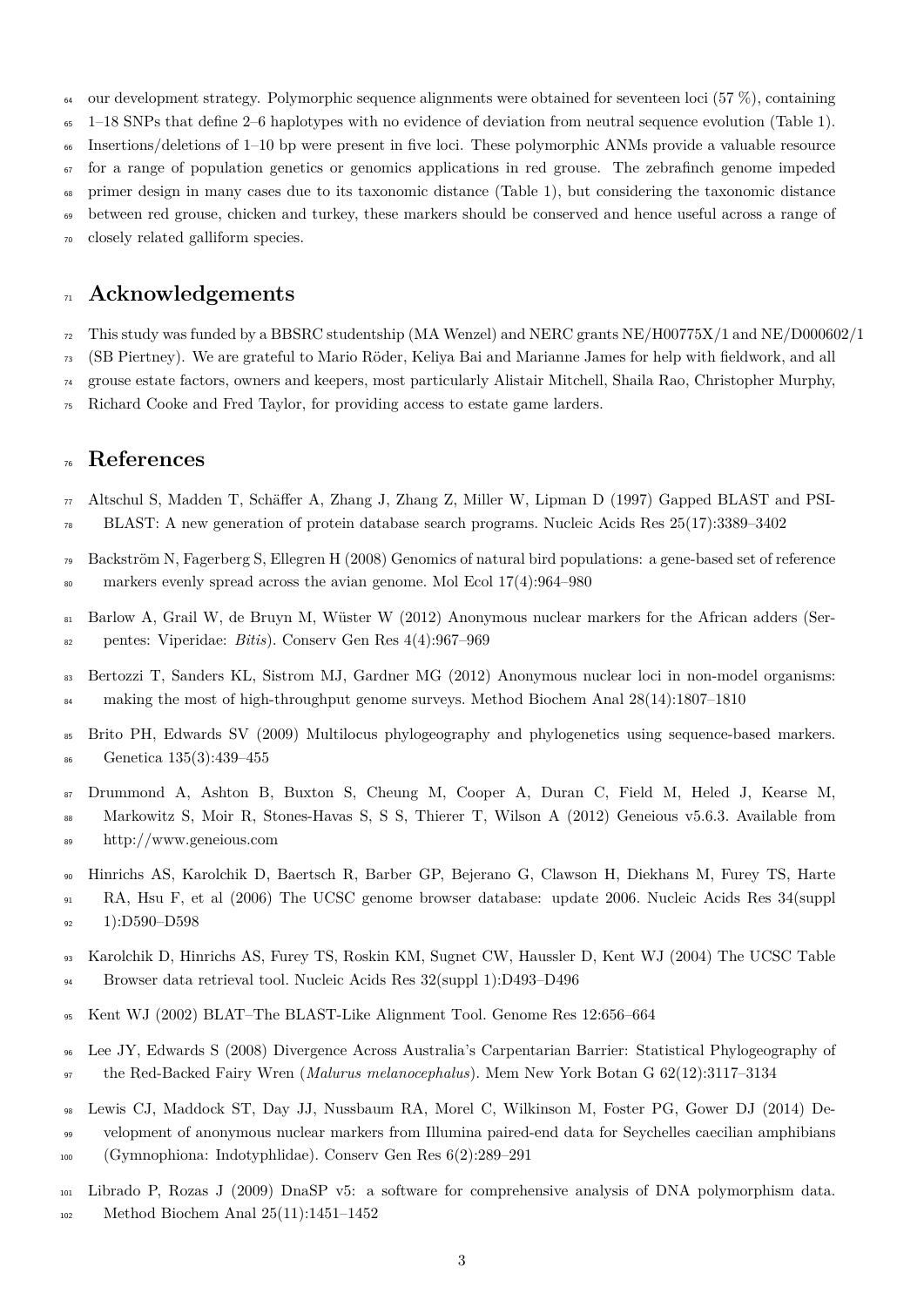64 our development strategy. Polymorphic sequence alignments were obtained for seventeen loci (57 %), containing

- $65 \text{ } 1-18$  SNPs that define 2–6 haplotypes with no evidence of deviation from neutral sequence evolution (Table 1).
- Insertions/deletions of 1–10 bp were present in five loci. These polymorphic ANMs provide a valuable resource
- for a range of population genetics or genomics applications in red grouse. The zebrafinch genome impeded
- primer design in many cases due to its taxonomic distance (Table 1), but considering the taxonomic distance
- between red grouse, chicken and turkey, these markers should be conserved and hence useful across a range of
- closely related galliform species.

## **Acknowledgements**

This study was funded by a BBSRC studentship (MA Wenzel) and NERC grants NE/H00775X/1 and NE/D000602/1

(SB Piertney). We are grateful to Mario Röder, Keliya Bai and Marianne James for help with fieldwork, and all

grouse estate factors, owners and keepers, most particularly Alistair Mitchell, Shaila Rao, Christopher Murphy,

Richard Cooke and Fred Taylor, for providing access to estate game larders.

## **References**

Altschul S, Madden T, Schäffer A, Zhang J, Zhang Z, Miller W, Lipman D (1997) Gapped BLAST and PSI-

- BLAST: A new generation of protein database search programs. Nucleic Acids Res 25(17):3389–3402
- Backström N, Fagerberg S, Ellegren H (2008) Genomics of natural bird populations: a gene-based set of reference markers evenly spread across the avian genome. Mol Ecol 17(4):964–980
- 81 Barlow A, Grail W, de Bruyn M, Wüster W (2012) Anonymous nuclear markers for the African adders (Ser-pentes: Viperidae: *Bitis*). Conserv Gen Res 4(4):967–969
- 83 Bertozzi T, Sanders KL, Sistrom MJ, Gardner MG (2012) Anonymous nuclear loci in non-model organisms: making the most of high-throughput genome surveys. Method Biochem Anal 28(14):1807–1810
- Brito PH, Edwards SV (2009) Multilocus phylogeography and phylogenetics using sequence-based markers. Genetica 135(3):439–455
- Drummond A, Ashton B, Buxton S, Cheung M, Cooper A, Duran C, Field M, Heled J, Kearse M, Markowitz S, Moir R, Stones-Havas S, S S, Thierer T, Wilson A (2012) Geneious v5.6.3. Available from http://www.geneious.com
- Hinrichs AS, Karolchik D, Baertsch R, Barber GP, Bejerano G, Clawson H, Diekhans M, Furey TS, Harte RA, Hsu F, et al (2006) The UCSC genome browser database: update 2006. Nucleic Acids Res 34(suppl 1):D590–D598
- Karolchik D, Hinrichs AS, Furey TS, Roskin KM, Sugnet CW, Haussler D, Kent WJ (2004) The UCSC Table Browser data retrieval tool. Nucleic Acids Res 32(suppl 1):D493–D496
- Kent WJ (2002) BLAT–The BLAST-Like Alignment Tool. Genome Res 12:656–664
- Lee JY, Edwards S (2008) Divergence Across Australia's Carpentarian Barrier: Statistical Phylogeography of the Red-Backed Fairy Wren (*Malurus melanocephalus*). Mem New York Botan G 62(12):3117–3134
- Lewis CJ, Maddock ST, Day JJ, Nussbaum RA, Morel C, Wilkinson M, Foster PG, Gower DJ (2014) De-
- velopment of anonymous nuclear markers from Illumina paired-end data for Seychelles caecilian amphibians (Gymnophiona: Indotyphlidae). Conserv Gen Res 6(2):289–291
- Librado P, Rozas J (2009) DnaSP v5: a software for comprehensive analysis of DNA polymorphism data.
- Method Biochem Anal 25(11):1451–1452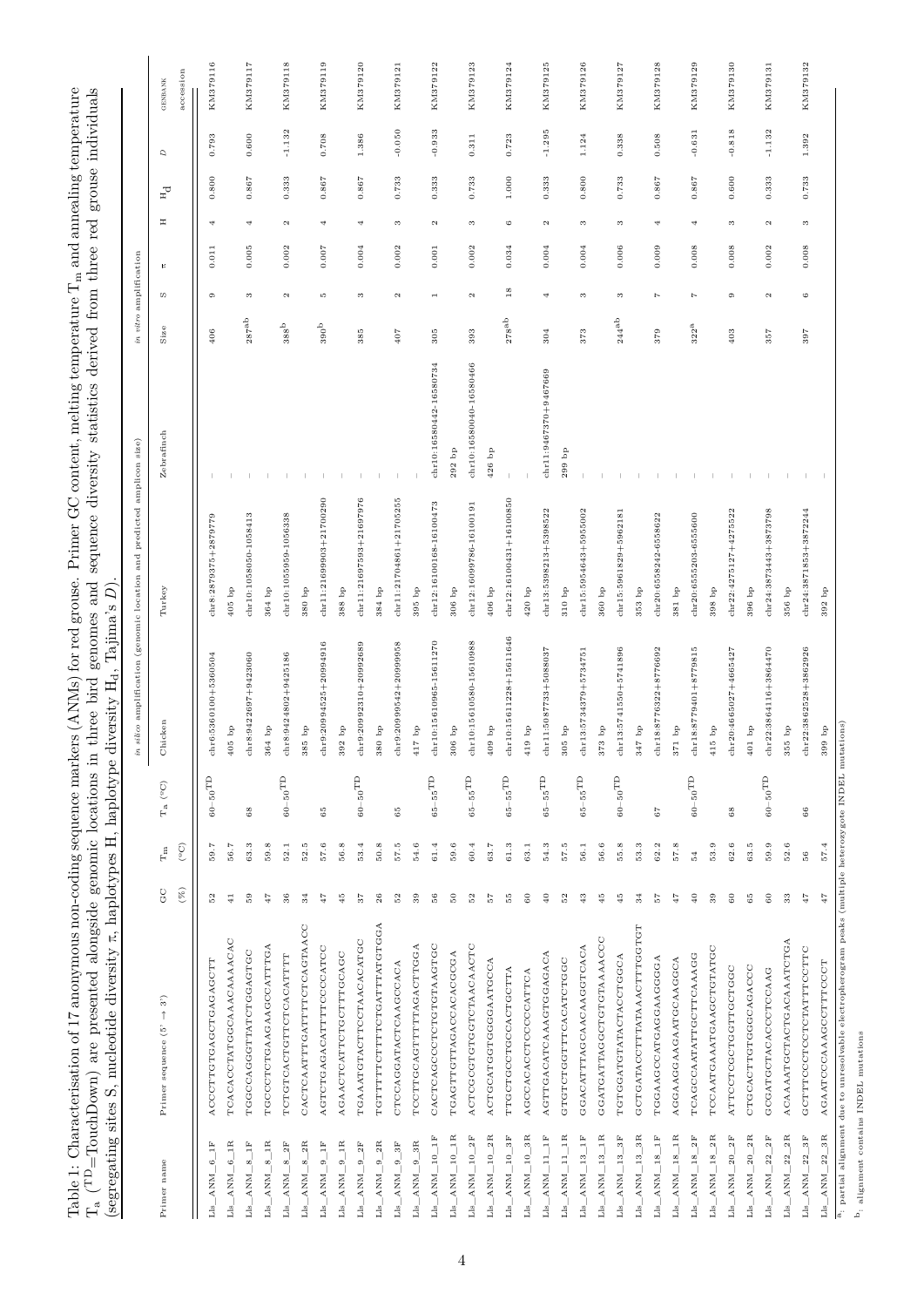Table 1: Characterisation of 17 anonymous non-coding sequence markers (ANMs) for red grouse. Primer GC content, melting temperature T Table 1: Characterisation of 17 anonymous non-coding sequence markers (ANMs) for red grouse. Primer GC content, melting temperature  $T_m$  and annealing temperature  $_{\rm m}$  and annealing temperature  $T_a$  ( $^{TD}$ =TouchDown) are presented alongside genomic locations in three bird genomes and sequence diversity statistics derived from three red grouse individuals (segregating sites S, nucleotide diversity π, haplotypes H, haplotype diversity  $H_d$ , Tajima's  $T_a$  (<sup>TD</sup>=TouchDown) are presented alongside genomic locations in three bird genomes and sequence diversity statistics derived from three red grouse individuals (seeregating sites S, nucleotide diversity T, haplotones H,

| lnn9, 29, 19                                                                                                                                                                                                                                                                                                                                                                                                                                                                                                                   |                                                                                                                   |                 |                           |                                |                           |                                                                     |                         |                        |                       |       |                       |                           |          |                |
|--------------------------------------------------------------------------------------------------------------------------------------------------------------------------------------------------------------------------------------------------------------------------------------------------------------------------------------------------------------------------------------------------------------------------------------------------------------------------------------------------------------------------------|-------------------------------------------------------------------------------------------------------------------|-----------------|---------------------------|--------------------------------|---------------------------|---------------------------------------------------------------------|-------------------------|------------------------|-----------------------|-------|-----------------------|---------------------------|----------|----------------|
|                                                                                                                                                                                                                                                                                                                                                                                                                                                                                                                                |                                                                                                                   |                 |                           |                                | $\ddot{n}$                | silico amplification (genomic location and predicted amplicon size) |                         | in vitro amplification |                       |       |                       |                           |          |                |
| Primer name                                                                                                                                                                                                                                                                                                                                                                                                                                                                                                                    | $\rightarrow$ 3')<br>Primer sequence (5'                                                                          | GO              | $\mathbf{T}_{\mathbf{m}}$ | $\rm T_a$ (°C)                 | Chicken                   | Turkey                                                              | Zebrafinch              | Size                   | W                     | ĸ     | Ξ                     | $\mathbf{P}_{\mathrm{H}}$ | $\Box$   | <b>GENBANK</b> |
|                                                                                                                                                                                                                                                                                                                                                                                                                                                                                                                                |                                                                                                                   | $(\%)$          | $(°^{\circ})$             |                                |                           |                                                                     |                         |                        |                       |       |                       |                           |          | accession      |
| $Lls\_ANM_6\_1F$                                                                                                                                                                                                                                                                                                                                                                                                                                                                                                               | ACCCTTGTGAGCTGAGAGCTT                                                                                             | 52              | 59.7                      | $_{\rm 60-50}^{\rm \, TDD}$    | $chr6:5360100+5360504$    | chr8:2879375+2879779                                                |                         | 406                    | G                     | 0.011 | 4                     | 0.800                     | 0.793    | KM379116       |
| $Lls\_ANM_6\_1R$                                                                                                                                                                                                                                                                                                                                                                                                                                                                                                               | TCACACCTATGGGAAACAAACAC                                                                                           | $\frac{1}{4}$   | 56.7                      |                                | $405$ bp                  | $405$ bp                                                            |                         |                        |                       |       |                       |                           |          |                |
| $Lls\_ANM_S\_1F$                                                                                                                                                                                                                                                                                                                                                                                                                                                                                                               | TGCCAGGGTTATCTGAGTGC                                                                                              | 59              | 63.3                      | $^{68}$                        | chr8:9422697+9423060      | chr10:1058050-1058413                                               |                         | $_{\rm 287^{ab}}$      | S                     | 0.005 | 4                     | 0.867                     | 0.600    | KM379117       |
| $Lls\_ANN_8_1R$                                                                                                                                                                                                                                                                                                                                                                                                                                                                                                                | TGCCCTCTGAAGAAGCCATTGA                                                                                            | 47              | 59.8                      |                                | 364 bp                    | 364 bp                                                              |                         |                        |                       |       |                       |                           |          |                |
| $Lls\_ANM\_8\_2F$                                                                                                                                                                                                                                                                                                                                                                                                                                                                                                              | TCTGTCACTGTTCTCACATTTT                                                                                            | 36              | 52.1                      | $_{\rm 60-50}^{\rm \, TD}$     | chr8:9424802+9425186      | chr10:1055959-1056338                                               |                         | $\rm 388^b$            | $\alpha$              | 0.002 | $\alpha$              | 0.333                     | $-1.132$ | KM379118       |
| $Lls\_ANN_8_2R$                                                                                                                                                                                                                                                                                                                                                                                                                                                                                                                | CACTCAATTTGATTTCTCAGTAACC                                                                                         | 34              | 52.5                      |                                | 385 bp                    | 380 bp                                                              |                         |                        |                       |       |                       |                           |          |                |
| $Lls\_ANN_9\_1F$                                                                                                                                                                                                                                                                                                                                                                                                                                                                                                               | AGTCTGAGACATTTCCCCATCC                                                                                            | 47              | 57.6                      | $65\,$                         | r9:20994525+20994916<br>뮝 | chr11:21699903+21700290                                             |                         | $_{\rm 390}^{\rm b}$   | <b>10</b>             | 0.007 | 4                     | 0.867                     | 0.708    | KM379119       |
| $Lls\_ANN_9\_1R$                                                                                                                                                                                                                                                                                                                                                                                                                                                                                                               | AGAACTCATTCCTTTGCAGC                                                                                              | 45              | 56.8                      |                                | 392 bp                    | 388 bp                                                              |                         |                        |                       |       |                       |                           |          |                |
| $Lls\_ANM\_9\_2F$                                                                                                                                                                                                                                                                                                                                                                                                                                                                                                              | TGAAATGTACTTCCTAACACATGC                                                                                          | 57              | 53.4                      | $_{\rm 60-50}^{\rm \, TDD}$    | chr9:20992310+20992689    | chr11:21697593+21697976                                             |                         | 385                    | S                     | 0.004 | 4                     | 0.867                     | 1.386    | KM379120       |
| $Lls\_ANM_9_2R$                                                                                                                                                                                                                                                                                                                                                                                                                                                                                                                | TGTTTTTCTTTTCTGATTTATGGA                                                                                          | 26              | 50.8                      |                                | 380 bp                    | 384 bp                                                              |                         |                        |                       |       |                       |                           |          |                |
| $Lls\_ANM_9\_3F$                                                                                                                                                                                                                                                                                                                                                                                                                                                                                                               | CTCCAGGATACTCAAGCACA                                                                                              | 52              | 57.5                      | $65$                           | chr9:20999542+20999958    | chr11:21704861+21705255                                             |                         | 407                    | $\mathbf{\Omega}$     | 0.002 | s                     | 0.733                     | $-0.050$ | KM379121       |
| $Lls\_ANM_9_3R$                                                                                                                                                                                                                                                                                                                                                                                                                                                                                                                | TCCTTGCAGTTTTAGACTTGGA                                                                                            | 39              | 54.6                      |                                | 417 bp                    | 395 bp                                                              |                         |                        |                       |       |                       |                           |          |                |
| $Lls\_ANN\_10\_1F$                                                                                                                                                                                                                                                                                                                                                                                                                                                                                                             | CACTCAGCCCTCTGTAAGTGC                                                                                             | 56              | 61.4                      | $_{65-55}\mathrm{TD}$          | chr10:15610965-15611270   | chr12:16100168-16100473                                             | chr10:16580442-16580734 | 305                    | $\overline{a}$        | 0.001 | $\boldsymbol{\alpha}$ | 0.333                     | $-0.933$ | KM379122       |
| $Lls\_ANN\_10\_1R$                                                                                                                                                                                                                                                                                                                                                                                                                                                                                                             | TGAGTTGTTAGACCACACGCGA                                                                                            | $\frac{6}{5}$   | 59.6                      |                                | 306 bp                    | 306 bp                                                              | $292\,\,\mathrm{bp}$    |                        |                       |       |                       |                           |          |                |
| $Lls\_ANM\_10\_2F$                                                                                                                                                                                                                                                                                                                                                                                                                                                                                                             | ACTCGCGTGTGGTCTAACAACTC                                                                                           | 52              | 60.4                      | $_{65-55}\mathrm{TD}$          | chr10:15610580-15610988   | chr12:16099786-16100191                                             | chr10:16580040-16580466 | 393                    | $\boldsymbol{\alpha}$ | 0.002 | S                     | 0.733                     | 0.311    | KM379123       |
| $Lls\_ANM\_10\_2R$                                                                                                                                                                                                                                                                                                                                                                                                                                                                                                             | ACTGCATGGTGGGAATGCCA                                                                                              | 75              | 63.7                      |                                | 409 bp                    | 406 bp                                                              | $426\,{\rm ~bp}$        |                        |                       |       |                       |                           |          |                |
| $Lls\_ANN\_10\_3F$                                                                                                                                                                                                                                                                                                                                                                                                                                                                                                             | TTGCTGCCTGCACTGCTTA                                                                                               | 10              | 61.3                      | $_{65-55}\mathrm{TD}$          | chr10:15611228+15611646   | chr12:16100431+16100850                                             |                         | $_{\rm 278}^{\rm ab}$  | 18                    | 0.034 | $\circ$               | 1.000                     | 0.723    | KM379124       |
| ${\rm Li}\,{\rm s}\_{\rm ANM\_10\_3R}$                                                                                                                                                                                                                                                                                                                                                                                                                                                                                         | AGCCACACCTCCCCATTCA                                                                                               | $^{60}$         | 63.1                      |                                | 419 bp                    | 420 bp                                                              |                         |                        |                       |       |                       |                           |          |                |
| ${\rm Li}\,{\rm s\_AM}\,{\rm M}\, {\rm -11}\, {\rm -1F}$                                                                                                                                                                                                                                                                                                                                                                                                                                                                       | AGTTGACATCAAAGTGGAGACA                                                                                            | $\overline{40}$ | 54.3                      | $_{65-55}\mathrm{T}\mathrm{D}$ | chr11:5087733+5088037     | chr13:5398213+5398522                                               | chr11:9467370+9467669   | 304                    | 4                     | 0.004 | $\mathfrak{a}$        | 0.333                     | $-1.295$ | KM379125       |
| $\rm L1s\_ANN\_11\_1R$                                                                                                                                                                                                                                                                                                                                                                                                                                                                                                         | GTGTCTGGTTCACATCTGGC                                                                                              | 52              | 57.5                      |                                | $305$ bp                  | 310 bp                                                              | 299 bp                  |                        |                       |       |                       |                           |          |                |
| ${\rm Li}\,{\rm s}\_{\rm ANM}\,$ 13 $\_{\rm 1F}$                                                                                                                                                                                                                                                                                                                                                                                                                                                                               | GGACATTTAGCAACAAGGTCACA                                                                                           | $43$            | $56.1$                    | $_{65-55}\mathrm{T}\mathrm{D}$ | chr13:5734379+5734751     | chr15:5954643+5955002                                               |                         | 373                    | $\infty$              | 0.004 | s                     | 0.800                     | 1.124    | KM379126       |
| $Lls\_ANM\_13\_1R$                                                                                                                                                                                                                                                                                                                                                                                                                                                                                                             | GGATGATTAGGCTGTGTAAAACCC                                                                                          | 45              | 56.6                      |                                | 373 bp                    | 360 bp                                                              |                         |                        |                       |       |                       |                           |          |                |
| $Lls\_ANM\_13\_3F$                                                                                                                                                                                                                                                                                                                                                                                                                                                                                                             | TGTGGATGTATACTACCTGGCA                                                                                            | 45              | 55.8                      | $_{\rm 60-50}^{\rm \, TD}$     | chr13:5741550+5741896     | chr15:5961829+5962181                                               |                         | $_{\rm 244^{ab}}$      | S                     | 0.006 | S                     | 0.733                     | 0.338    | KM379127       |
| $Lls\_ANM\_13\_3R$                                                                                                                                                                                                                                                                                                                                                                                                                                                                                                             | GCTGATACCTTTATAAACTTTGGTGT                                                                                        | 34              | 53.3                      |                                | 347 bp                    | 353 bp                                                              |                         |                        |                       |       |                       |                           |          |                |
| ${\rm L} \, {\rm l} \, {\rm s} \, {\underline{\hspace{-.03in}{\rm M}}} \, {\underline{\hspace{-.03in} \rm M}} \, {\underline{\hspace{-.03in}{\rm M}}} \, {\underline{\hspace{-.03in}{\rm M}}} \, {\underline{\hspace{-.03in}{\rm N}}} \, {\underline{\hspace{-.03in}{\rm N}}} \, {\underline{\hspace{-.03in}{\rm N}}} \, {\underline{\hspace{-.03in}{\rm N}}} \, {\underline{\hspace{-.03in}{\rm N}}} \, {\underline{\hspace{-.03in}{\rm N}}} \, {\underline{\hspace{-.03in}{\rm N}}} \, {\underline{\hspace{-.03in}{\rm N}}}$ | TGGAAGCCATGAGGAAGGGA                                                                                              | 75              | 62.2                      | 67                             | chr18:8776322+8776692     | chr20:6558242-6558622                                               |                         | 379                    | $\mathcal{A}$         | 0.009 | 4                     | 0.867                     | 0.508    | KM379128       |
| ${\rm Li}\,{\rm s}\_{\rm ANM}\_{\rm 18\_1R}$                                                                                                                                                                                                                                                                                                                                                                                                                                                                                   | AGGAAGGAAGAATGCAAGGCA                                                                                             | 47              | 57.8                      |                                | 371 bp                    | 381 bp                                                              |                         |                        |                       |       |                       |                           |          |                |
| $Lls\_ANN\_18\_2F$                                                                                                                                                                                                                                                                                                                                                                                                                                                                                                             | TCAGCCAATATTGCTTCAAAGG                                                                                            | 40              | 54                        | $_{\rm 60-50}^{\rm \, TD}$     | chr18:8779401+8779815     | chr20:6555203-6555600                                               |                         | $322^{\rm a}$          | N                     | 0.008 | 4                     | 0.867                     | $-0.631$ | KM379129       |
| $Lls\_ANN_18_2R$                                                                                                                                                                                                                                                                                                                                                                                                                                                                                                               | TCCAATGAAATGAAGCTGTATGC                                                                                           | 39              | 53.9                      |                                | 415 bp                    | 398 bp                                                              |                         |                        |                       |       |                       |                           |          |                |
| $Lls\_ANN_20_2F$                                                                                                                                                                                                                                                                                                                                                                                                                                                                                                               | ATTOCTOGCTGGTTGCTGC                                                                                               | $_{60}$         | 62.6                      | $_{68}$                        | chr20:4665027+4665427     | chr22:4275127+4275522                                               |                         | 403                    | $\circ$               | 0.008 | S                     | 0.600                     | $-0.818$ | KM379130       |
| $Lls\_ANN_20_2R$                                                                                                                                                                                                                                                                                                                                                                                                                                                                                                               | CTGCACTTGTGGCAGACC                                                                                                | 65              | 63.5                      |                                | 401 bp                    | 396 bp                                                              |                         |                        |                       |       |                       |                           |          |                |
| $Lls\_ANN\_22\_2F$                                                                                                                                                                                                                                                                                                                                                                                                                                                                                                             | GCGATGCTACACCCTCCAAG                                                                                              | $_{\rm 60}$     | 59.9                      | $_{60-50}\mathrm{TD}$          | chr22:3864116+3864470     | chr24:3873443+3873798                                               |                         | 357                    | $\alpha$              | 0.002 | $\alpha$              | 0.333                     | $-1.132$ | KM379131       |
| $Lls\_ANN_222\_2R$                                                                                                                                                                                                                                                                                                                                                                                                                                                                                                             | ACAAAATGCTACTGACAAATCTGA                                                                                          | 33              | 52.6                      |                                | 355 bp                    | 356 bp                                                              |                         |                        |                       |       |                       |                           |          |                |
| $Lls\_ANM\_22\_3F$                                                                                                                                                                                                                                                                                                                                                                                                                                                                                                             | GCTTTCCCTCCTCTATTCCTTC                                                                                            | 47              | 56                        | 66                             | chr22:3862528+3862926     | chr24:3871853+3872244                                               |                         | 397                    | $^{\circ}$            | 0.008 | S                     | 0.733                     | 1.392    | KM379132       |
| $Lls\_ANM\_22\_3R$                                                                                                                                                                                                                                                                                                                                                                                                                                                                                                             | AGAATCCCAAAGCCTTTCCCT                                                                                             | $47\,$          | 57.4                      |                                | 399 bp                    | $392$ bp                                                            |                         |                        |                       |       |                       |                           |          |                |
|                                                                                                                                                                                                                                                                                                                                                                                                                                                                                                                                | $^{\rm a}$ : partial alignment due to unresolvable electropherogram peaks (multiple heterozygote INDEL mutations) |                 |                           |                                |                           |                                                                     |                         |                        |                       |       |                       |                           |          |                |

 ${\bf b}$  : alignment contains INDEL mutations b: alignment contains INDEL mutations